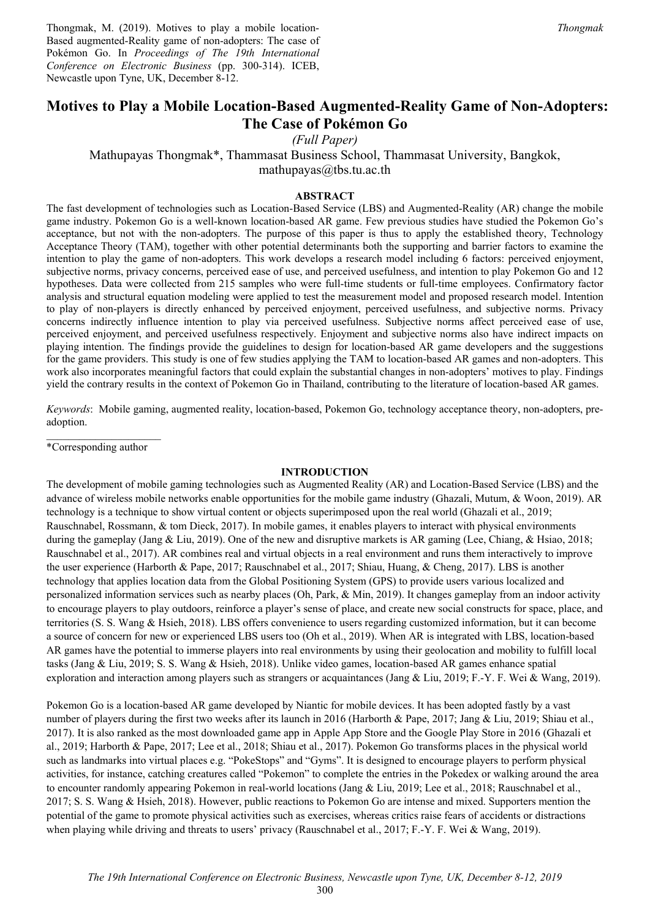Thongmak, M. (2019). Motives to play a mobile location-Based augmented-Reality game of non-adopters: The case of Pokémon Go. In *Proceedings of The 19th International Conference on Electronic Business* (pp. 300-314). ICEB, Newcastle upon Tyne, UK, December 8-12.

# **Motives to Play a Mobile Location-Based Augmented-Reality Game of Non-Adopters: The Case of Pokémon Go**

*(Full Paper)* 

Mathupayas Thongmak\*, Thammasat Business School, Thammasat University, Bangkok,

mathupayas@tbs.tu.ac.th

#### **ABSTRACT**

The fast development of technologies such as Location-Based Service (LBS) and Augmented-Reality (AR) change the mobile game industry. Pokemon Go is a well-known location-based AR game. Few previous studies have studied the Pokemon Go's acceptance, but not with the non-adopters. The purpose of this paper is thus to apply the established theory, Technology Acceptance Theory (TAM), together with other potential determinants both the supporting and barrier factors to examine the intention to play the game of non-adopters. This work develops a research model including 6 factors: perceived enjoyment, subjective norms, privacy concerns, perceived ease of use, and perceived usefulness, and intention to play Pokemon Go and 12 hypotheses. Data were collected from 215 samples who were full-time students or full-time employees. Confirmatory factor analysis and structural equation modeling were applied to test the measurement model and proposed research model. Intention to play of non-players is directly enhanced by perceived enjoyment, perceived usefulness, and subjective norms. Privacy concerns indirectly influence intention to play via perceived usefulness. Subjective norms affect perceived ease of use, perceived enjoyment, and perceived usefulness respectively. Enjoyment and subjective norms also have indirect impacts on playing intention. The findings provide the guidelines to design for location-based AR game developers and the suggestions for the game providers. This study is one of few studies applying the TAM to location-based AR games and non-adopters. This work also incorporates meaningful factors that could explain the substantial changes in non-adopters' motives to play. Findings yield the contrary results in the context of Pokemon Go in Thailand, contributing to the literature of location-based AR games.

*Keywords*: Mobile gaming, augmented reality, location-based, Pokemon Go, technology acceptance theory, non-adopters, preadoption.

\*Corresponding author

#### **INTRODUCTION**

The development of mobile gaming technologies such as Augmented Reality (AR) and Location-Based Service (LBS) and the advance of wireless mobile networks enable opportunities for the mobile game industry (Ghazali, Mutum, & Woon, 2019). AR technology is a technique to show virtual content or objects superimposed upon the real world (Ghazali et al., 2019; Rauschnabel, Rossmann, & tom Dieck, 2017). In mobile games, it enables players to interact with physical environments during the gameplay (Jang & Liu, 2019). One of the new and disruptive markets is AR gaming (Lee, Chiang, & Hsiao, 2018; Rauschnabel et al., 2017). AR combines real and virtual objects in a real environment and runs them interactively to improve the user experience (Harborth & Pape, 2017; Rauschnabel et al., 2017; Shiau, Huang, & Cheng, 2017). LBS is another technology that applies location data from the Global Positioning System (GPS) to provide users various localized and personalized information services such as nearby places (Oh, Park, & Min, 2019). It changes gameplay from an indoor activity to encourage players to play outdoors, reinforce a player's sense of place, and create new social constructs for space, place, and territories (S. S. Wang & Hsieh, 2018). LBS offers convenience to users regarding customized information, but it can become a source of concern for new or experienced LBS users too (Oh et al., 2019). When AR is integrated with LBS, location-based AR games have the potential to immerse players into real environments by using their geolocation and mobility to fulfill local tasks (Jang & Liu, 2019; S. S. Wang & Hsieh, 2018). Unlike video games, location-based AR games enhance spatial exploration and interaction among players such as strangers or acquaintances (Jang & Liu, 2019; F.-Y. F. Wei & Wang, 2019).

Pokemon Go is a location-based AR game developed by Niantic for mobile devices. It has been adopted fastly by a vast number of players during the first two weeks after its launch in 2016 (Harborth & Pape, 2017; Jang & Liu, 2019; Shiau et al., 2017). It is also ranked as the most downloaded game app in Apple App Store and the Google Play Store in 2016 (Ghazali et al., 2019; Harborth & Pape, 2017; Lee et al., 2018; Shiau et al., 2017). Pokemon Go transforms places in the physical world such as landmarks into virtual places e.g. "PokeStops" and "Gyms". It is designed to encourage players to perform physical activities, for instance, catching creatures called "Pokemon" to complete the entries in the Pokedex or walking around the area to encounter randomly appearing Pokemon in real-world locations (Jang & Liu, 2019; Lee et al., 2018; Rauschnabel et al., 2017; S. S. Wang & Hsieh, 2018). However, public reactions to Pokemon Go are intense and mixed. Supporters mention the potential of the game to promote physical activities such as exercises, whereas critics raise fears of accidents or distractions when playing while driving and threats to users' privacy (Rauschnabel et al., 2017; F.-Y. F. Wei & Wang, 2019).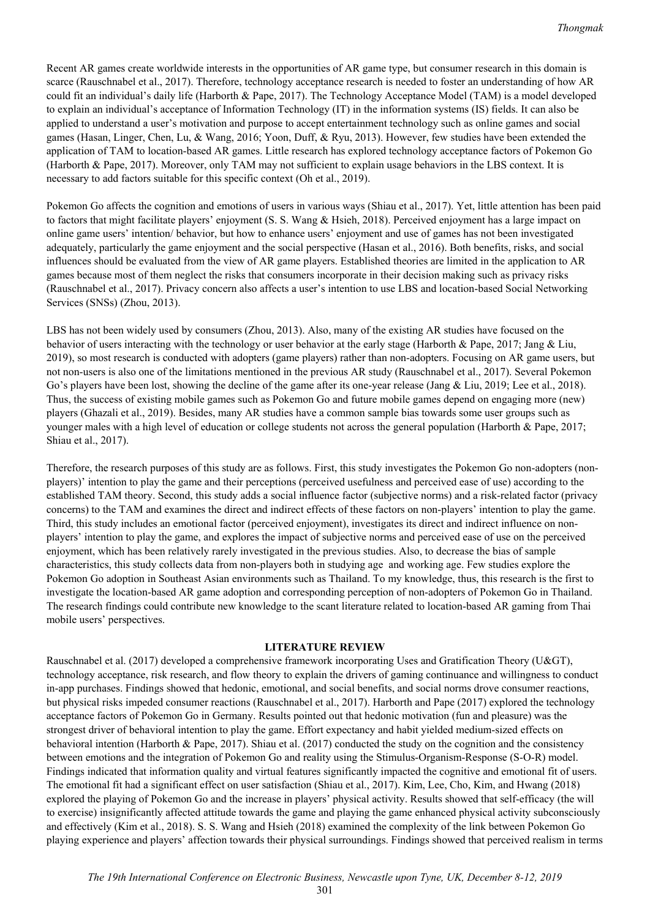Recent AR games create worldwide interests in the opportunities of AR game type, but consumer research in this domain is scarce (Rauschnabel et al., 2017). Therefore, technology acceptance research is needed to foster an understanding of how AR could fit an individual's daily life (Harborth & Pape, 2017). The Technology Acceptance Model (TAM) is a model developed to explain an individual's acceptance of Information Technology (IT) in the information systems (IS) fields. It can also be applied to understand a user's motivation and purpose to accept entertainment technology such as online games and social games (Hasan, Linger, Chen, Lu, & Wang, 2016; Yoon, Duff, & Ryu, 2013). However, few studies have been extended the application of TAM to location-based AR games. Little research has explored technology acceptance factors of Pokemon Go (Harborth & Pape, 2017). Moreover, only TAM may not sufficient to explain usage behaviors in the LBS context. It is necessary to add factors suitable for this specific context (Oh et al., 2019).

Pokemon Go affects the cognition and emotions of users in various ways (Shiau et al., 2017). Yet, little attention has been paid to factors that might facilitate players' enjoyment (S. S. Wang & Hsieh, 2018). Perceived enjoyment has a large impact on online game users' intention/ behavior, but how to enhance users' enjoyment and use of games has not been investigated adequately, particularly the game enjoyment and the social perspective (Hasan et al., 2016). Both benefits, risks, and social influences should be evaluated from the view of AR game players. Established theories are limited in the application to AR games because most of them neglect the risks that consumers incorporate in their decision making such as privacy risks (Rauschnabel et al., 2017). Privacy concern also affects a user's intention to use LBS and location-based Social Networking Services (SNSs) (Zhou, 2013).

LBS has not been widely used by consumers (Zhou, 2013). Also, many of the existing AR studies have focused on the behavior of users interacting with the technology or user behavior at the early stage (Harborth & Pape, 2017; Jang & Liu, 2019), so most research is conducted with adopters (game players) rather than non-adopters. Focusing on AR game users, but not non-users is also one of the limitations mentioned in the previous AR study (Rauschnabel et al., 2017). Several Pokemon Go's players have been lost, showing the decline of the game after its one-year release (Jang & Liu, 2019; Lee et al., 2018). Thus, the success of existing mobile games such as Pokemon Go and future mobile games depend on engaging more (new) players (Ghazali et al., 2019). Besides, many AR studies have a common sample bias towards some user groups such as younger males with a high level of education or college students not across the general population (Harborth & Pape, 2017; Shiau et al., 2017).

Therefore, the research purposes of this study are as follows. First, this study investigates the Pokemon Go non-adopters (nonplayers)' intention to play the game and their perceptions (perceived usefulness and perceived ease of use) according to the established TAM theory. Second, this study adds a social influence factor (subjective norms) and a risk-related factor (privacy concerns) to the TAM and examines the direct and indirect effects of these factors on non-players' intention to play the game. Third, this study includes an emotional factor (perceived enjoyment), investigates its direct and indirect influence on nonplayers' intention to play the game, and explores the impact of subjective norms and perceived ease of use on the perceived enjoyment, which has been relatively rarely investigated in the previous studies. Also, to decrease the bias of sample characteristics, this study collects data from non-players both in studying age and working age. Few studies explore the Pokemon Go adoption in Southeast Asian environments such as Thailand. To my knowledge, thus, this research is the first to investigate the location-based AR game adoption and corresponding perception of non-adopters of Pokemon Go in Thailand. The research findings could contribute new knowledge to the scant literature related to location-based AR gaming from Thai mobile users' perspectives.

### **LITERATURE REVIEW**

Rauschnabel et al. (2017) developed a comprehensive framework incorporating Uses and Gratification Theory (U&GT), technology acceptance, risk research, and flow theory to explain the drivers of gaming continuance and willingness to conduct in-app purchases. Findings showed that hedonic, emotional, and social benefits, and social norms drove consumer reactions, but physical risks impeded consumer reactions (Rauschnabel et al., 2017). Harborth and Pape (2017) explored the technology acceptance factors of Pokemon Go in Germany. Results pointed out that hedonic motivation (fun and pleasure) was the strongest driver of behavioral intention to play the game. Effort expectancy and habit yielded medium-sized effects on behavioral intention (Harborth & Pape, 2017). Shiau et al. (2017) conducted the study on the cognition and the consistency between emotions and the integration of Pokemon Go and reality using the Stimulus-Organism-Response (S-O-R) model. Findings indicated that information quality and virtual features significantly impacted the cognitive and emotional fit of users. The emotional fit had a significant effect on user satisfaction (Shiau et al., 2017). Kim, Lee, Cho, Kim, and Hwang (2018) explored the playing of Pokemon Go and the increase in players' physical activity. Results showed that self-efficacy (the will to exercise) insignificantly affected attitude towards the game and playing the game enhanced physical activity subconsciously and effectively (Kim et al., 2018). S. S. Wang and Hsieh (2018) examined the complexity of the link between Pokemon Go playing experience and players' affection towards their physical surroundings. Findings showed that perceived realism in terms

301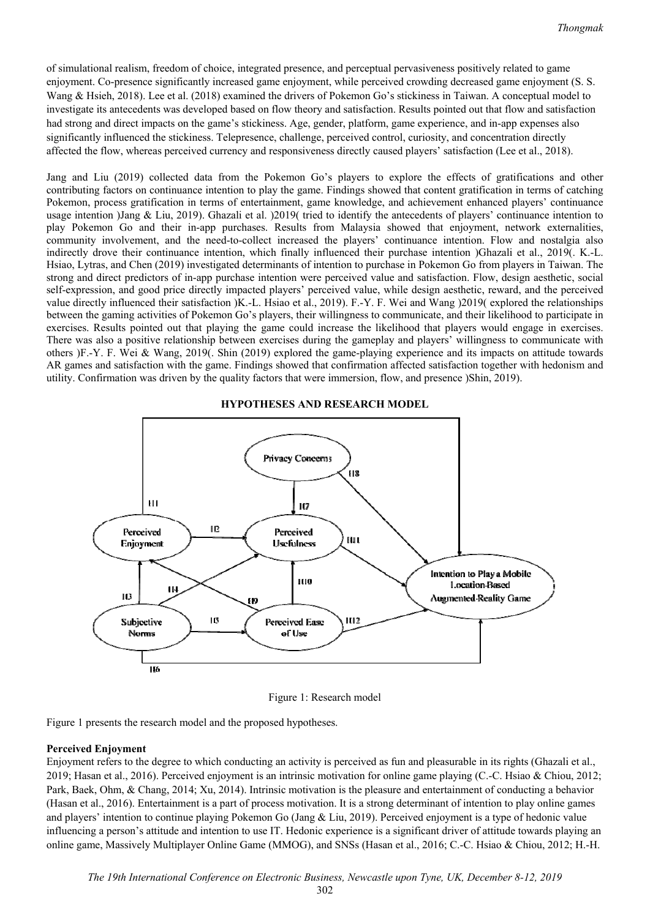of simulational realism, freedom of choice, integrated presence, and perceptual pervasiveness positively related to game enjoyment. Co-presence significantly increased game enjoyment, while perceived crowding decreased game enjoyment (S. S. Wang & Hsieh, 2018). Lee et al. (2018) examined the drivers of Pokemon Go's stickiness in Taiwan. A conceptual model to investigate its antecedents was developed based on flow theory and satisfaction. Results pointed out that flow and satisfaction had strong and direct impacts on the game's stickiness. Age, gender, platform, game experience, and in-app expenses also significantly influenced the stickiness. Telepresence, challenge, perceived control, curiosity, and concentration directly affected the flow, whereas perceived currency and responsiveness directly caused players' satisfaction (Lee et al., 2018).

Jang and Liu (2019) collected data from the Pokemon Go's players to explore the effects of gratifications and other contributing factors on continuance intention to play the game. Findings showed that content gratification in terms of catching Pokemon, process gratification in terms of entertainment, game knowledge, and achievement enhanced players' continuance usage intention )Jang & Liu, 2019). Ghazali et al. )2019( tried to identify the antecedents of players' continuance intention to play Pokemon Go and their in-app purchases. Results from Malaysia showed that enjoyment, network externalities, community involvement, and the need-to-collect increased the players' continuance intention. Flow and nostalgia also indirectly drove their continuance intention, which finally influenced their purchase intention )Ghazali et al., 2019(. K.-L. Hsiao, Lytras, and Chen (2019) investigated determinants of intention to purchase in Pokemon Go from players in Taiwan. The strong and direct predictors of in-app purchase intention were perceived value and satisfaction. Flow, design aesthetic, social self-expression, and good price directly impacted players' perceived value, while design aesthetic, reward, and the perceived value directly influenced their satisfaction )K.-L. Hsiao et al., 2019). F.-Y. F. Wei and Wang )2019( explored the relationships between the gaming activities of Pokemon Go's players, their willingness to communicate, and their likelihood to participate in exercises. Results pointed out that playing the game could increase the likelihood that players would engage in exercises. There was also a positive relationship between exercises during the gameplay and players' willingness to communicate with others )F.-Y. F. Wei & Wang, 2019(. Shin (2019) explored the game-playing experience and its impacts on attitude towards AR games and satisfaction with the game. Findings showed that confirmation affected satisfaction together with hedonism and utility. Confirmation was driven by the quality factors that were immersion, flow, and presence )Shin, 2019).



**HYPOTHESES AND RESEARCH MODEL** 

Figure 1: Research model

Figure 1 presents the research model and the proposed hypotheses.

### **Perceived Enjoyment**

Enjoyment refers to the degree to which conducting an activity is perceived as fun and pleasurable in its rights (Ghazali et al., 2019; Hasan et al., 2016). Perceived enjoyment is an intrinsic motivation for online game playing (C.-C. Hsiao & Chiou, 2012; Park, Baek, Ohm, & Chang, 2014; Xu, 2014). Intrinsic motivation is the pleasure and entertainment of conducting a behavior (Hasan et al., 2016). Entertainment is a part of process motivation. It is a strong determinant of intention to play online games and players' intention to continue playing Pokemon Go (Jang & Liu, 2019). Perceived enjoyment is a type of hedonic value influencing a person's attitude and intention to use IT. Hedonic experience is a significant driver of attitude towards playing an online game, Massively Multiplayer Online Game (MMOG), and SNSs (Hasan et al., 2016; C.-C. Hsiao & Chiou, 2012; H.-H.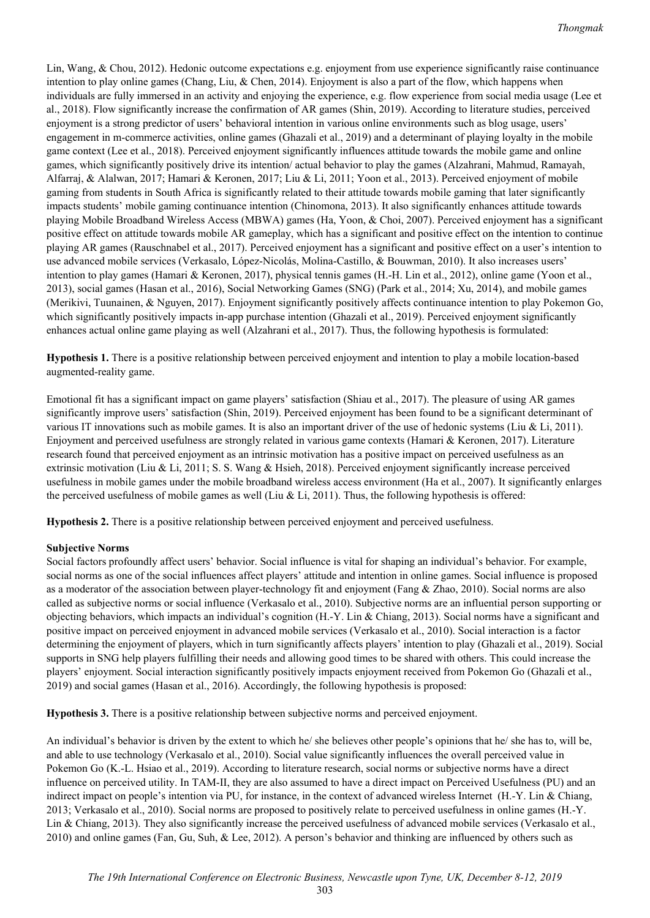Lin, Wang, & Chou, 2012). Hedonic outcome expectations e.g. enjoyment from use experience significantly raise continuance intention to play online games (Chang, Liu, & Chen, 2014). Enjoyment is also a part of the flow, which happens when individuals are fully immersed in an activity and enjoying the experience, e.g. flow experience from social media usage (Lee et al., 2018). Flow significantly increase the confirmation of AR games (Shin, 2019). According to literature studies, perceived enjoyment is a strong predictor of users' behavioral intention in various online environments such as blog usage, users' engagement in m-commerce activities, online games (Ghazali et al., 2019) and a determinant of playing loyalty in the mobile game context (Lee et al., 2018). Perceived enjoyment significantly influences attitude towards the mobile game and online games, which significantly positively drive its intention/ actual behavior to play the games (Alzahrani, Mahmud, Ramayah, Alfarraj, & Alalwan, 2017; Hamari & Keronen, 2017; Liu & Li, 2011; Yoon et al., 2013). Perceived enjoyment of mobile gaming from students in South Africa is significantly related to their attitude towards mobile gaming that later significantly impacts students' mobile gaming continuance intention (Chinomona, 2013). It also significantly enhances attitude towards playing Mobile Broadband Wireless Access (MBWA) games (Ha, Yoon, & Choi, 2007). Perceived enjoyment has a significant positive effect on attitude towards mobile AR gameplay, which has a significant and positive effect on the intention to continue playing AR games (Rauschnabel et al., 2017). Perceived enjoyment has a significant and positive effect on a user's intention to use advanced mobile services (Verkasalo, López-Nicolás, Molina-Castillo, & Bouwman, 2010). It also increases users' intention to play games (Hamari & Keronen, 2017), physical tennis games (H.-H. Lin et al., 2012), online game (Yoon et al., 2013), social games (Hasan et al., 2016), Social Networking Games (SNG) (Park et al., 2014; Xu, 2014), and mobile games (Merikivi, Tuunainen, & Nguyen, 2017). Enjoyment significantly positively affects continuance intention to play Pokemon Go, which significantly positively impacts in-app purchase intention (Ghazali et al., 2019). Perceived enjoyment significantly enhances actual online game playing as well (Alzahrani et al., 2017). Thus, the following hypothesis is formulated:

**Hypothesis 1.** There is a positive relationship between perceived enjoyment and intention to play a mobile location-based augmented-reality game.

Emotional fit has a significant impact on game players' satisfaction (Shiau et al., 2017). The pleasure of using AR games significantly improve users' satisfaction (Shin, 2019). Perceived enjoyment has been found to be a significant determinant of various IT innovations such as mobile games. It is also an important driver of the use of hedonic systems (Liu & Li, 2011). Enjoyment and perceived usefulness are strongly related in various game contexts (Hamari & Keronen, 2017). Literature research found that perceived enjoyment as an intrinsic motivation has a positive impact on perceived usefulness as an extrinsic motivation (Liu & Li, 2011; S. S. Wang & Hsieh, 2018). Perceived enjoyment significantly increase perceived usefulness in mobile games under the mobile broadband wireless access environment (Ha et al., 2007). It significantly enlarges the perceived usefulness of mobile games as well (Liu & Li, 2011). Thus, the following hypothesis is offered:

**Hypothesis 2.** There is a positive relationship between perceived enjoyment and perceived usefulness.

# **Subjective Norms**

Social factors profoundly affect users' behavior. Social influence is vital for shaping an individual's behavior. For example, social norms as one of the social influences affect players' attitude and intention in online games. Social influence is proposed as a moderator of the association between player-technology fit and enjoyment (Fang & Zhao, 2010). Social norms are also called as subjective norms or social influence (Verkasalo et al., 2010). Subjective norms are an influential person supporting or objecting behaviors, which impacts an individual's cognition (H.-Y. Lin & Chiang, 2013). Social norms have a significant and positive impact on perceived enjoyment in advanced mobile services (Verkasalo et al., 2010). Social interaction is a factor determining the enjoyment of players, which in turn significantly affects players' intention to play (Ghazali et al., 2019). Social supports in SNG help players fulfilling their needs and allowing good times to be shared with others. This could increase the players' enjoyment. Social interaction significantly positively impacts enjoyment received from Pokemon Go (Ghazali et al., 2019) and social games (Hasan et al., 2016). Accordingly, the following hypothesis is proposed:

**Hypothesis 3.** There is a positive relationship between subjective norms and perceived enjoyment.

An individual's behavior is driven by the extent to which he/ she believes other people's opinions that he/ she has to, will be, and able to use technology (Verkasalo et al., 2010). Social value significantly influences the overall perceived value in Pokemon Go (K.-L. Hsiao et al., 2019). According to literature research, social norms or subjective norms have a direct influence on perceived utility. In TAM-II, they are also assumed to have a direct impact on Perceived Usefulness (PU) and an indirect impact on people's intention via PU, for instance, in the context of advanced wireless Internet (H.-Y. Lin & Chiang, 2013; Verkasalo et al., 2010). Social norms are proposed to positively relate to perceived usefulness in online games (H.-Y. Lin & Chiang, 2013). They also significantly increase the perceived usefulness of advanced mobile services (Verkasalo et al., 2010) and online games (Fan, Gu, Suh, & Lee, 2012). A person's behavior and thinking are influenced by others such as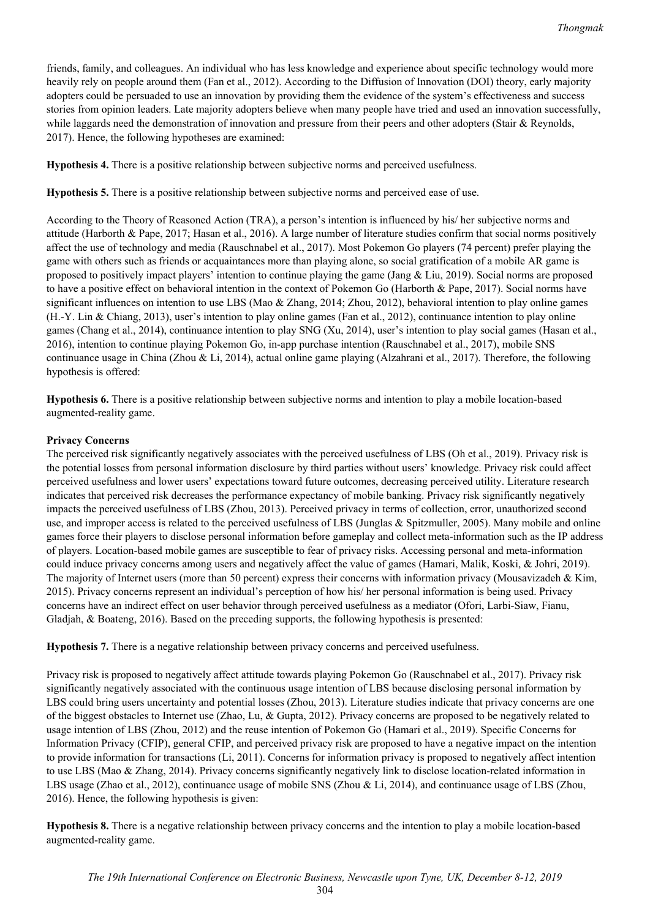friends, family, and colleagues. An individual who has less knowledge and experience about specific technology would more heavily rely on people around them (Fan et al., 2012). According to the Diffusion of Innovation (DOI) theory, early majority adopters could be persuaded to use an innovation by providing them the evidence of the system's effectiveness and success stories from opinion leaders. Late majority adopters believe when many people have tried and used an innovation successfully, while laggards need the demonstration of innovation and pressure from their peers and other adopters (Stair & Reynolds, 2017). Hence, the following hypotheses are examined:

**Hypothesis 4.** There is a positive relationship between subjective norms and perceived usefulness.

**Hypothesis 5.** There is a positive relationship between subjective norms and perceived ease of use.

According to the Theory of Reasoned Action (TRA), a person's intention is influenced by his/ her subjective norms and attitude (Harborth & Pape, 2017; Hasan et al., 2016). A large number of literature studies confirm that social norms positively affect the use of technology and media (Rauschnabel et al., 2017). Most Pokemon Go players (74 percent) prefer playing the game with others such as friends or acquaintances more than playing alone, so social gratification of a mobile AR game is proposed to positively impact players' intention to continue playing the game (Jang & Liu, 2019). Social norms are proposed to have a positive effect on behavioral intention in the context of Pokemon Go (Harborth & Pape, 2017). Social norms have significant influences on intention to use LBS (Mao & Zhang, 2014; Zhou, 2012), behavioral intention to play online games (H.-Y. Lin & Chiang, 2013), user's intention to play online games (Fan et al., 2012), continuance intention to play online games (Chang et al., 2014), continuance intention to play SNG (Xu, 2014), user's intention to play social games (Hasan et al., 2016), intention to continue playing Pokemon Go, in-app purchase intention (Rauschnabel et al., 2017), mobile SNS continuance usage in China (Zhou & Li, 2014), actual online game playing (Alzahrani et al., 2017). Therefore, the following hypothesis is offered:

**Hypothesis 6.** There is a positive relationship between subjective norms and intention to play a mobile location-based augmented-reality game.

# **Privacy Concerns**

The perceived risk significantly negatively associates with the perceived usefulness of LBS (Oh et al., 2019). Privacy risk is the potential losses from personal information disclosure by third parties without users' knowledge. Privacy risk could affect perceived usefulness and lower users' expectations toward future outcomes, decreasing perceived utility. Literature research indicates that perceived risk decreases the performance expectancy of mobile banking. Privacy risk significantly negatively impacts the perceived usefulness of LBS (Zhou, 2013). Perceived privacy in terms of collection, error, unauthorized second use, and improper access is related to the perceived usefulness of LBS (Junglas & Spitzmuller, 2005). Many mobile and online games force their players to disclose personal information before gameplay and collect meta-information such as the IP address of players. Location-based mobile games are susceptible to fear of privacy risks. Accessing personal and meta-information could induce privacy concerns among users and negatively affect the value of games (Hamari, Malik, Koski, & Johri, 2019). The majority of Internet users (more than 50 percent) express their concerns with information privacy (Mousavizadeh & Kim, 2015). Privacy concerns represent an individual's perception of how his/ her personal information is being used. Privacy concerns have an indirect effect on user behavior through perceived usefulness as a mediator (Ofori, Larbi-Siaw, Fianu, Gladjah, & Boateng, 2016). Based on the preceding supports, the following hypothesis is presented:

**Hypothesis 7.** There is a negative relationship between privacy concerns and perceived usefulness.

Privacy risk is proposed to negatively affect attitude towards playing Pokemon Go (Rauschnabel et al., 2017). Privacy risk significantly negatively associated with the continuous usage intention of LBS because disclosing personal information by LBS could bring users uncertainty and potential losses (Zhou, 2013). Literature studies indicate that privacy concerns are one of the biggest obstacles to Internet use (Zhao, Lu, & Gupta, 2012). Privacy concerns are proposed to be negatively related to usage intention of LBS (Zhou, 2012) and the reuse intention of Pokemon Go (Hamari et al., 2019). Specific Concerns for Information Privacy (CFIP), general CFIP, and perceived privacy risk are proposed to have a negative impact on the intention to provide information for transactions (Li, 2011). Concerns for information privacy is proposed to negatively affect intention to use LBS (Mao & Zhang, 2014). Privacy concerns significantly negatively link to disclose location-related information in LBS usage (Zhao et al., 2012), continuance usage of mobile SNS (Zhou & Li, 2014), and continuance usage of LBS (Zhou, 2016). Hence, the following hypothesis is given:

**Hypothesis 8.** There is a negative relationship between privacy concerns and the intention to play a mobile location-based augmented-reality game.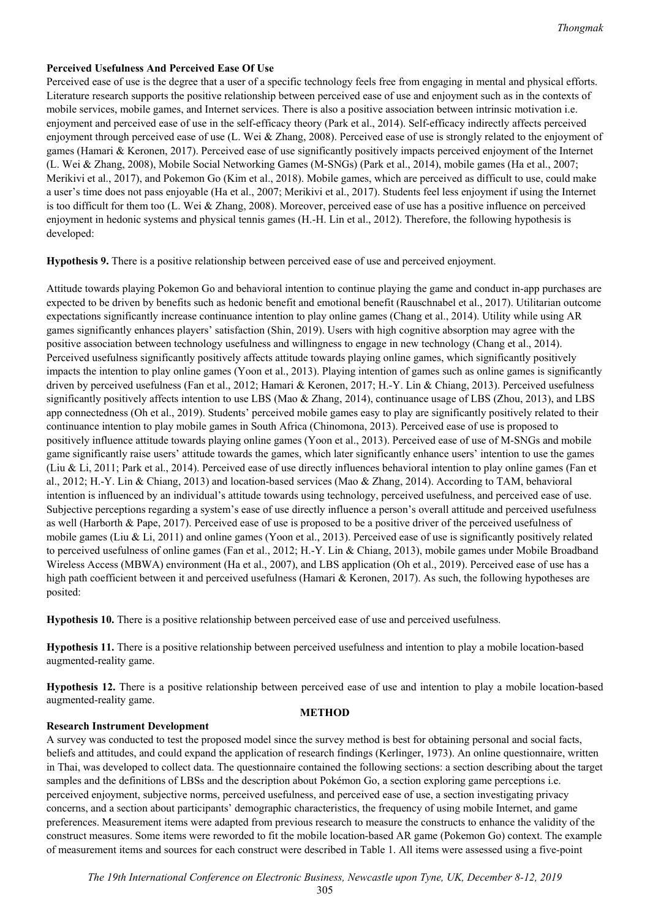# **Perceived Usefulness And Perceived Ease Of Use**

Perceived ease of use is the degree that a user of a specific technology feels free from engaging in mental and physical efforts. Literature research supports the positive relationship between perceived ease of use and enjoyment such as in the contexts of mobile services, mobile games, and Internet services. There is also a positive association between intrinsic motivation i.e. enjoyment and perceived ease of use in the self-efficacy theory (Park et al., 2014). Self-efficacy indirectly affects perceived enjoyment through perceived ease of use (L. Wei & Zhang, 2008). Perceived ease of use is strongly related to the enjoyment of games (Hamari & Keronen, 2017). Perceived ease of use significantly positively impacts perceived enjoyment of the Internet (L. Wei & Zhang, 2008), Mobile Social Networking Games (M-SNGs) (Park et al., 2014), mobile games (Ha et al., 2007; Merikivi et al., 2017), and Pokemon Go (Kim et al., 2018). Mobile games, which are perceived as difficult to use, could make a user's time does not pass enjoyable (Ha et al., 2007; Merikivi et al., 2017). Students feel less enjoyment if using the Internet is too difficult for them too (L. Wei & Zhang, 2008). Moreover, perceived ease of use has a positive influence on perceived enjoyment in hedonic systems and physical tennis games (H.-H. Lin et al., 2012). Therefore, the following hypothesis is developed:

**Hypothesis 9.** There is a positive relationship between perceived ease of use and perceived enjoyment.

Attitude towards playing Pokemon Go and behavioral intention to continue playing the game and conduct in-app purchases are expected to be driven by benefits such as hedonic benefit and emotional benefit (Rauschnabel et al., 2017). Utilitarian outcome expectations significantly increase continuance intention to play online games (Chang et al., 2014). Utility while using AR games significantly enhances players' satisfaction (Shin, 2019). Users with high cognitive absorption may agree with the positive association between technology usefulness and willingness to engage in new technology (Chang et al., 2014). Perceived usefulness significantly positively affects attitude towards playing online games, which significantly positively impacts the intention to play online games (Yoon et al., 2013). Playing intention of games such as online games is significantly driven by perceived usefulness (Fan et al., 2012; Hamari & Keronen, 2017; H.-Y. Lin & Chiang, 2013). Perceived usefulness significantly positively affects intention to use LBS (Mao & Zhang, 2014), continuance usage of LBS (Zhou, 2013), and LBS app connectedness (Oh et al., 2019). Students' perceived mobile games easy to play are significantly positively related to their continuance intention to play mobile games in South Africa (Chinomona, 2013). Perceived ease of use is proposed to positively influence attitude towards playing online games (Yoon et al., 2013). Perceived ease of use of M-SNGs and mobile game significantly raise users' attitude towards the games, which later significantly enhance users' intention to use the games (Liu & Li, 2011; Park et al., 2014). Perceived ease of use directly influences behavioral intention to play online games (Fan et al., 2012; H.-Y. Lin & Chiang, 2013) and location-based services (Mao & Zhang, 2014). According to TAM, behavioral intention is influenced by an individual's attitude towards using technology, perceived usefulness, and perceived ease of use. Subjective perceptions regarding a system's ease of use directly influence a person's overall attitude and perceived usefulness as well (Harborth & Pape, 2017). Perceived ease of use is proposed to be a positive driver of the perceived usefulness of mobile games (Liu & Li, 2011) and online games (Yoon et al., 2013). Perceived ease of use is significantly positively related to perceived usefulness of online games (Fan et al., 2012; H.-Y. Lin & Chiang, 2013), mobile games under Mobile Broadband Wireless Access (MBWA) environment (Ha et al., 2007), and LBS application (Oh et al., 2019). Perceived ease of use has a high path coefficient between it and perceived usefulness (Hamari & Keronen, 2017). As such, the following hypotheses are posited:

**Hypothesis 10.** There is a positive relationship between perceived ease of use and perceived usefulness.

**Hypothesis 11.** There is a positive relationship between perceived usefulness and intention to play a mobile location-based augmented-reality game.

**Hypothesis 12.** There is a positive relationship between perceived ease of use and intention to play a mobile location-based augmented-reality game.

# **METHOD**

# **Research Instrument Development**

A survey was conducted to test the proposed model since the survey method is best for obtaining personal and social facts, beliefs and attitudes, and could expand the application of research findings (Kerlinger, 1973). An online questionnaire, written in Thai, was developed to collect data. The questionnaire contained the following sections: a section describing about the target samples and the definitions of LBSs and the description about Pokémon Go, a section exploring game perceptions i.e. perceived enjoyment, subjective norms, perceived usefulness, and perceived ease of use, a section investigating privacy concerns, and a section about participants' demographic characteristics, the frequency of using mobile Internet, and game preferences. Measurement items were adapted from previous research to measure the constructs to enhance the validity of the construct measures. Some items were reworded to fit the mobile location-based AR game (Pokemon Go) context. The example of measurement items and sources for each construct were described in Table 1. All items were assessed using a five-point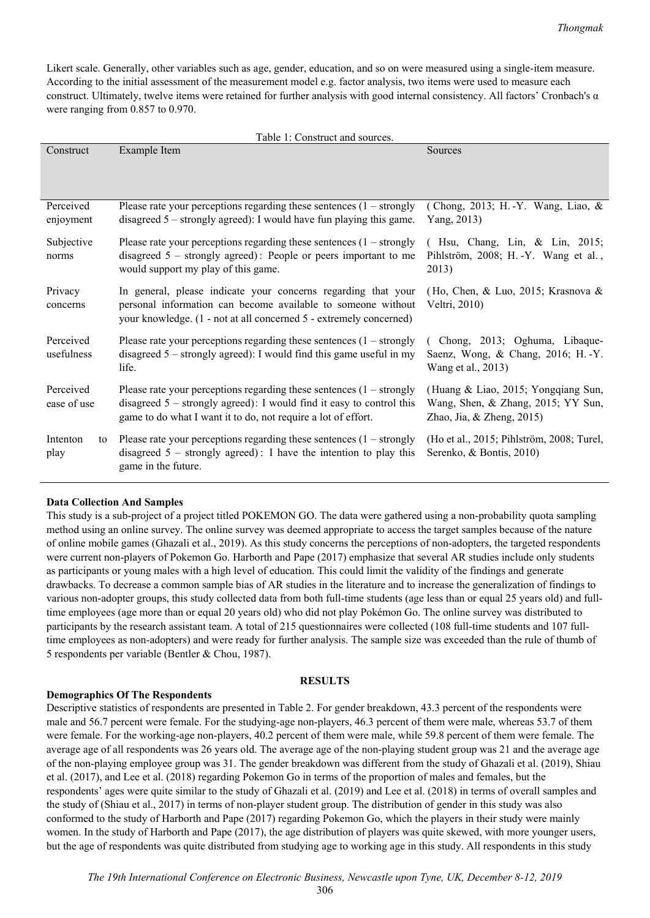Likert scale. Generally, other variables such as age, gender, education, and so on were measured using a single-item measure. According to the initial assessment of the measurement model e.g. factor analysis, two items were used to measure each construct. Ultimately, twelve items were retained for further analysis with good internal consistency. All factors' Cronbach's α were ranging from 0.857 to 0.970.

| Construct                | Example Item                                                                                                                                                                                                      | Sources                                                                                                |
|--------------------------|-------------------------------------------------------------------------------------------------------------------------------------------------------------------------------------------------------------------|--------------------------------------------------------------------------------------------------------|
|                          |                                                                                                                                                                                                                   |                                                                                                        |
| Perceived                | Please rate your perceptions regarding these sentences $(1 -$ strongly                                                                                                                                            | (Chong, 2013; H. - Y. Wang, Liao, &                                                                    |
| enjoyment                | disagreed $5$ – strongly agreed): I would have fun playing this game.                                                                                                                                             | Yang, 2013)                                                                                            |
| Subjective<br>norms      | Please rate your perceptions regarding these sentences $(1 - \text{strongly})$<br>disagreed $5$ – strongly agreed): People or peers important to me<br>would support my play of this game.                        | (Hsu, Chang, Lin, & Lin, 2015;<br>Pihlström, 2008; H. -Y. Wang et al.,<br>2013)                        |
| Privacy<br>concerns      | In general, please indicate your concerns regarding that your<br>personal information can become available to someone without<br>your knowledge. (1 - not at all concerned 5 - extremely concerned)               | (Ho, Chen, & Luo, 2015; Krasnova &<br>Veltri, 2010)                                                    |
| Perceived<br>usefulness  | Please rate your perceptions regarding these sentences $(1 - \text{strongly})$<br>disagreed $5 -$ strongly agreed): I would find this game useful in my<br>life.                                                  | Chong, 2013; Oghuma, Libaque-<br>Saenz, Wong, & Chang, 2016; H. -Y.<br>Wang et al., 2013)              |
| Perceived<br>ease of use | Please rate your perceptions regarding these sentences $(1 -$ strongly<br>disagreed $5$ – strongly agreed): I would find it easy to control this<br>game to do what I want it to do, not require a lot of effort. | (Huang & Liao, 2015; Yongqiang Sun,<br>Wang, Shen, & Zhang, 2015; YY Sun,<br>Zhao, Jia, & Zheng, 2015) |
| Intenton<br>to<br>play   | Please rate your perceptions regarding these sentences $(1 - \text{strongly})$<br>disagreed $5$ – strongly agreed): I have the intention to play this<br>game in the future.                                      | (Ho et al., 2015; Pihlström, 2008; Turel,<br>Serenko, & Bontis, 2010)                                  |

### **Data Collection And Samples**

This study is a sub-project of a project titled POKEMON GO. The data were gathered using a non-probability quota sampling method using an online survey. The online survey was deemed appropriate to access the target samples because of the nature of online mobile games (Ghazali et al., 2019). As this study concerns the perceptions of non-adopters, the targeted respondents were current non-players of Pokemon Go. Harborth and Pape (2017) emphasize that several AR studies include only students as participants or young males with a high level of education. This could limit the validity of the findings and generate drawbacks. To decrease a common sample bias of AR studies in the literature and to increase the generalization of findings to various non-adopter groups, this study collected data from both full-time students (age less than or equal 25 years old) and fulltime employees (age more than or equal 20 years old) who did not play Pokémon Go. The online survey was distributed to participants by the research assistant team. A total of 215 questionnaires were collected (108 full-time students and 107 fulltime employees as non-adopters) and were ready for further analysis. The sample size was exceeded than the rule of thumb of 5 respondents per variable (Bentler & Chou, 1987).

#### **RESULTS**

#### **Demographics Of The Respondents**

Descriptive statistics of respondents are presented in Table 2. For gender breakdown, 43.3 percent of the respondents were male and 56.7 percent were female. For the studying-age non-players, 46.3 percent of them were male, whereas 53.7 of them were female. For the working-age non-players, 40.2 percent of them were male, while 59.8 percent of them were female. The average age of all respondents was 26 years old. The average age of the non-playing student group was 21 and the average age of the non-playing employee group was 31. The gender breakdown was different from the study of Ghazali et al. (2019), Shiau et al. (2017), and Lee et al. (2018) regarding Pokemon Go in terms of the proportion of males and females, but the respondents' ages were quite similar to the study of Ghazali et al. (2019) and Lee et al. (2018) in terms of overall samples and the study of (Shiau et al., 2017) in terms of non-player student group. The distribution of gender in this study was also conformed to the study of Harborth and Pape (2017) regarding Pokemon Go, which the players in their study were mainly women. In the study of Harborth and Pape (2017), the age distribution of players was quite skewed, with more younger users, but the age of respondents was quite distributed from studying age to working age in this study. All respondents in this study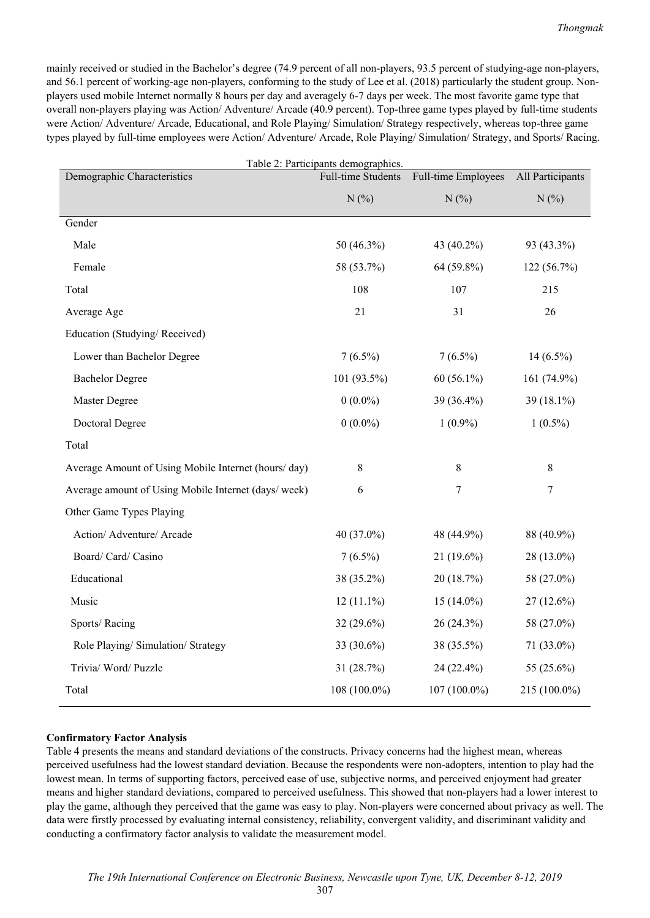mainly received or studied in the Bachelor's degree (74.9 percent of all non-players, 93.5 percent of studying-age non-players, and 56.1 percent of working-age non-players, conforming to the study of Lee et al. (2018) particularly the student group. Nonplayers used mobile Internet normally 8 hours per day and averagely 6-7 days per week. The most favorite game type that overall non-players playing was Action/ Adventure/ Arcade (40.9 percent). Top-three game types played by full-time students were Action/ Adventure/ Arcade, Educational, and Role Playing/ Simulation/ Strategy respectively, whereas top-three game types played by full-time employees were Action/ Adventure/ Arcade, Role Playing/ Simulation/ Strategy, and Sports/ Racing.

| Table 2: Participants demographics.                  |                    |                     |                  |  |
|------------------------------------------------------|--------------------|---------------------|------------------|--|
| Demographic Characteristics                          | Full-time Students | Full-time Employees | All Participants |  |
|                                                      | N(%)               | N(%)                | N(%)             |  |
| Gender                                               |                    |                     |                  |  |
| Male                                                 | 50 (46.3%)         | 43 (40.2%)          | 93 (43.3%)       |  |
| Female                                               | 58 (53.7%)         | 64 (59.8%)          | 122(56.7%)       |  |
| Total                                                | 108                | 107                 | 215              |  |
| Average Age                                          | 21                 | 31                  | 26               |  |
| Education (Studying/Received)                        |                    |                     |                  |  |
| Lower than Bachelor Degree                           | $7(6.5\%)$         | $7(6.5\%)$          | $14(6.5\%)$      |  |
| <b>Bachelor Degree</b>                               | 101 (93.5%)        | $60(56.1\%)$        | 161 (74.9%)      |  |
| Master Degree                                        | $0(0.0\%)$         | 39 (36.4%)          | 39 (18.1%)       |  |
| Doctoral Degree                                      | $0(0.0\%)$         | $1(0.9\%)$          | $1(0.5\%)$       |  |
| Total                                                |                    |                     |                  |  |
| Average Amount of Using Mobile Internet (hours/day)  | $\,8\,$            | $\,8\,$             | $8\,$            |  |
| Average amount of Using Mobile Internet (days/ week) | 6                  | 7                   | $\tau$           |  |
| Other Game Types Playing                             |                    |                     |                  |  |
| Action/ Adventure/ Arcade                            | 40 (37.0%)         | 48 (44.9%)          | 88 (40.9%)       |  |
| Board/ Card/ Casino                                  | $7(6.5\%)$         | $21(19.6\%)$        | 28 (13.0%)       |  |
| Educational                                          | 38 (35.2%)         | 20(18.7%)           | 58 (27.0%)       |  |
| Music                                                | $12(11.1\%)$       | $15(14.0\%)$        | 27 (12.6%)       |  |
| Sports/Racing                                        | $32(29.6\%)$       | $26(24.3\%)$        | 58 (27.0%)       |  |
| Role Playing/ Simulation/ Strategy                   | 33 (30.6%)         | 38 (35.5%)          | 71 (33.0%)       |  |
| Trivia/ Word/ Puzzle                                 | 31(28.7%)          | 24 (22.4%)          | 55 (25.6%)       |  |
| Total                                                | $108(100.0\%)$     | 107 (100.0%)        | 215 (100.0%)     |  |

# **Confirmatory Factor Analysis**

Table 4 presents the means and standard deviations of the constructs. Privacy concerns had the highest mean, whereas perceived usefulness had the lowest standard deviation. Because the respondents were non-adopters, intention to play had the lowest mean. In terms of supporting factors, perceived ease of use, subjective norms, and perceived enjoyment had greater means and higher standard deviations, compared to perceived usefulness. This showed that non-players had a lower interest to play the game, although they perceived that the game was easy to play. Non-players were concerned about privacy as well. The data were firstly processed by evaluating internal consistency, reliability, convergent validity, and discriminant validity and conducting a confirmatory factor analysis to validate the measurement model.

307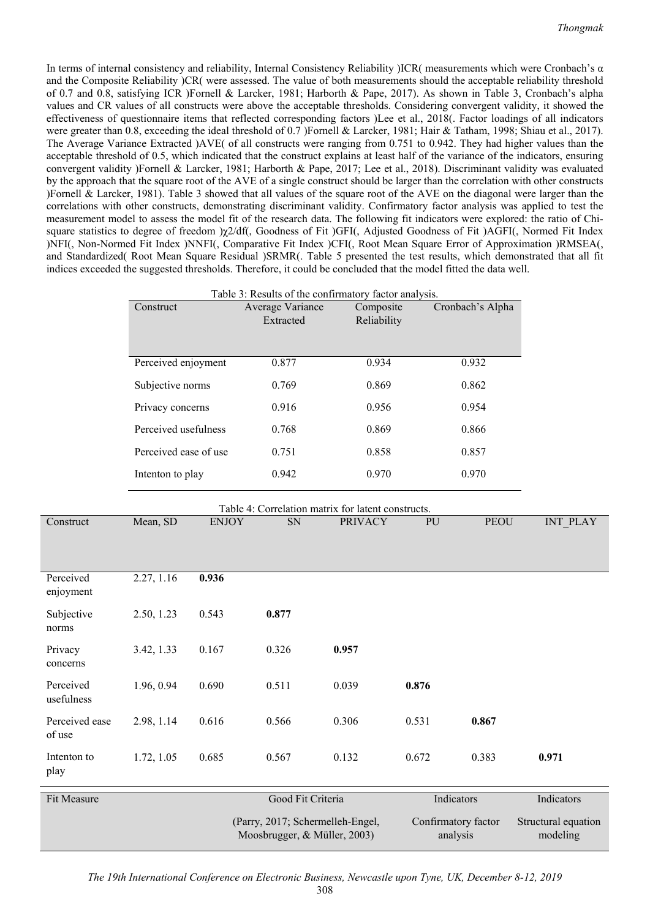In terms of internal consistency and reliability, Internal Consistency Reliability )ICR( measurements which were Cronbach's α and the Composite Reliability )CR( were assessed. The value of both measurements should the acceptable reliability threshold of 0.7 and 0.8, satisfying ICR )Fornell & Larcker, 1981; Harborth & Pape, 2017). As shown in Table 3, Cronbach's alpha values and CR values of all constructs were above the acceptable thresholds. Considering convergent validity, it showed the effectiveness of questionnaire items that reflected corresponding factors )Lee et al., 2018(. Factor loadings of all indicators were greater than 0.8, exceeding the ideal threshold of 0.7 )Fornell & Larcker, 1981; Hair & Tatham, 1998; Shiau et al., 2017). The Average Variance Extracted )AVE( of all constructs were ranging from 0.751 to 0.942. They had higher values than the acceptable threshold of 0.5, which indicated that the construct explains at least half of the variance of the indicators, ensuring convergent validity )Fornell & Larcker, 1981; Harborth & Pape, 2017; Lee et al., 2018). Discriminant validity was evaluated by the approach that the square root of the AVE of a single construct should be larger than the correlation with other constructs )Fornell & Larcker, 1981). Table 3 showed that all values of the square root of the AVE on the diagonal were larger than the correlations with other constructs, demonstrating discriminant validity. Confirmatory factor analysis was applied to test the measurement model to assess the model fit of the research data. The following fit indicators were explored: the ratio of Chisquare statistics to degree of freedom )χ2/df(, Goodness of Fit )GFI(, Adjusted Goodness of Fit )AGFI(, Normed Fit Index )NFI(, Non-Normed Fit Index )NNFI(, Comparative Fit Index )CFI(, Root Mean Square Error of Approximation )RMSEA(, and Standardized( Root Mean Square Residual )SRMR(. Table 5 presented the test results, which demonstrated that all fit indices exceeded the suggested thresholds. Therefore, it could be concluded that the model fitted the data well.

|                         |                       |                  | Table 3: Results of the confirmatory factor analysis. |                          |       |                  |                 |
|-------------------------|-----------------------|------------------|-------------------------------------------------------|--------------------------|-------|------------------|-----------------|
|                         | Construct             |                  | Average Variance<br>Extracted                         | Composite<br>Reliability |       | Cronbach's Alpha |                 |
|                         |                       |                  |                                                       |                          |       |                  |                 |
|                         | Perceived enjoyment   |                  | 0.877                                                 | 0.934                    |       | 0.932            |                 |
|                         |                       | Subjective norms |                                                       | 0.769<br>0.869           |       | 0.862            |                 |
|                         | Privacy concerns      |                  | 0.916                                                 | 0.956                    | 0.954 |                  |                 |
|                         | Perceived usefulness  |                  | 0.768                                                 | 0.869                    |       | 0.866            |                 |
|                         | Perceived ease of use |                  | 0.751                                                 | 0.858                    |       | 0.857            |                 |
|                         | Intenton to play      |                  | 0.942                                                 | 0.970                    |       | 0.970            |                 |
|                         |                       |                  | Table 4: Correlation matrix for latent constructs.    |                          |       |                  |                 |
| Construct               | Mean, SD              | <b>ENJOY</b>     | SN                                                    | <b>PRIVACY</b>           | PU    | <b>PEOU</b>      | <b>INT_PLAY</b> |
|                         |                       |                  |                                                       |                          |       |                  |                 |
| Perceived<br>enjoyment  | 2.27, 1.16            | 0.936            |                                                       |                          |       |                  |                 |
| Subjective<br>norms     | 2.50, 1.23            | 0.543            | 0.877                                                 |                          |       |                  |                 |
| Privacy<br>concerns     | 3.42, 1.33            | 0.167            | 0.326                                                 | 0.957                    |       |                  |                 |
| Perceived<br>usefulness | 1.96, 0.94            | 0.690            | 0.511                                                 | 0.039                    | 0.876 |                  |                 |

| Good Fit Criteria                                                | Indicators                      | Indicators                      |
|------------------------------------------------------------------|---------------------------------|---------------------------------|
| (Parry, 2017; Schermelleh-Engel,<br>Moosbrugger, & Müller, 2003) | Confirmatory factor<br>analysis | Structural equation<br>modeling |
|                                                                  |                                 |                                 |

1.72, 1.05 0.685 0.567 0.132 0.672 0.383 **0.971** 

2.98, 1.14 0.616 0.566 0.306 0.531 **0.867** 

of use

Intenton to play

Perceived ease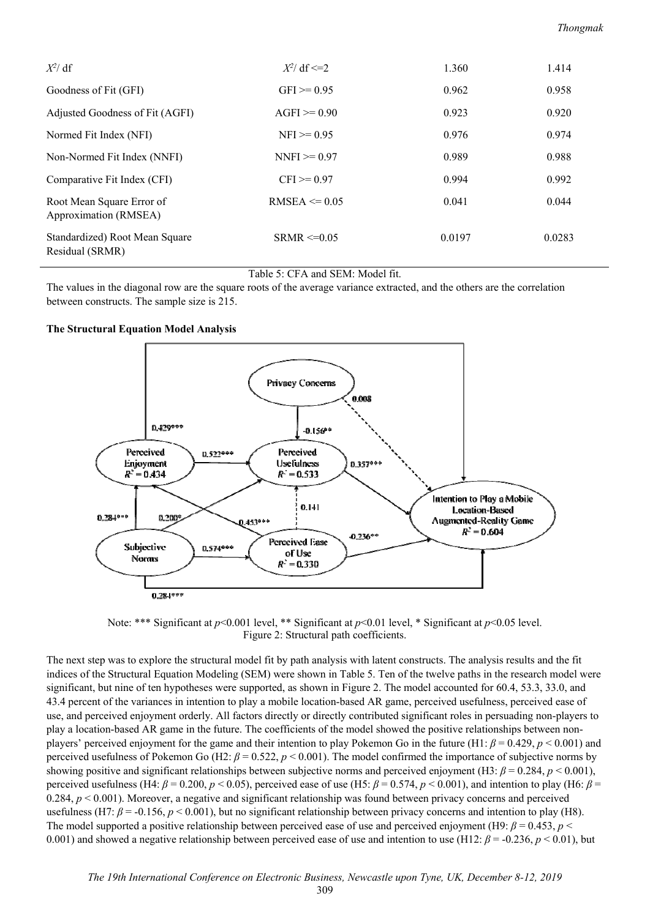| $X^2$ df                                           | $X^2$ df <= 2     | 1.360  | 1.414  |
|----------------------------------------------------|-------------------|--------|--------|
| Goodness of Fit (GFI)                              | $GFI > = 0.95$    | 0.962  | 0.958  |
| Adjusted Goodness of Fit (AGFI)                    | $AGFI \ge 0.90$   | 0.923  | 0.920  |
| Normed Fit Index (NFI)                             | $NFI \ge 0.95$    | 0.976  | 0.974  |
| Non-Normed Fit Index (NNFI)                        | $NNFI \ge 0.97$   | 0.989  | 0.988  |
| Comparative Fit Index (CFI)                        | $CFI \ge 0.97$    | 0.994  | 0.992  |
| Root Mean Square Error of<br>Approximation (RMSEA) | RMSEA $\leq 0.05$ | 0.041  | 0.044  |
| Standardized) Root Mean Square<br>Residual (SRMR)  | $SRMR \leq 0.05$  | 0.0197 | 0.0283 |

### Table 5: CFA and SEM: Model fit.

The values in the diagonal row are the square roots of the average variance extracted, and the others are the correlation between constructs. The sample size is 215.

### **The Structural Equation Model Analysis**



Note: \*\*\* Significant at *p*<0.001 level, \*\* Significant at *p*<0.01 level, \* Significant at *p*<0.05 level. Figure 2: Structural path coefficients.

The next step was to explore the structural model fit by path analysis with latent constructs. The analysis results and the fit indices of the Structural Equation Modeling (SEM) were shown in Table 5. Ten of the twelve paths in the research model were significant, but nine of ten hypotheses were supported, as shown in Figure 2. The model accounted for 60.4, 53.3, 33.0, and 43.4 percent of the variances in intention to play a mobile location-based AR game, perceived usefulness, perceived ease of use, and perceived enjoyment orderly. All factors directly or directly contributed significant roles in persuading non-players to play a location-based AR game in the future. The coefficients of the model showed the positive relationships between nonplayers' perceived enjoyment for the game and their intention to play Pokemon Go in the future (H1: *β* = 0.429, *p* < 0.001) and perceived usefulness of Pokemon Go (H2: *β* = 0.522, *p* < 0.001). The model confirmed the importance of subjective norms by showing positive and significant relationships between subjective norms and perceived enjoyment (H3: *β* = 0.284, *p* < 0.001), perceived usefulness (H4:  $\beta$  = 0.200,  $p$  < 0.05), perceived ease of use (H5:  $\beta$  = 0.574,  $p$  < 0.001), and intention to play (H6:  $\beta$  = 0.284,  $p < 0.001$ ). Moreover, a negative and significant relationship was found between privacy concerns and perceived usefulness (H7: *β* = -0.156, *p* < 0.001), but no significant relationship between privacy concerns and intention to play (H8). The model supported a positive relationship between perceived ease of use and perceived enjoyment (H9: *β* = 0.453, *p* < 0.001) and showed a negative relationship between perceived ease of use and intention to use (H12: *β* = -0.236, *p* < 0.01), but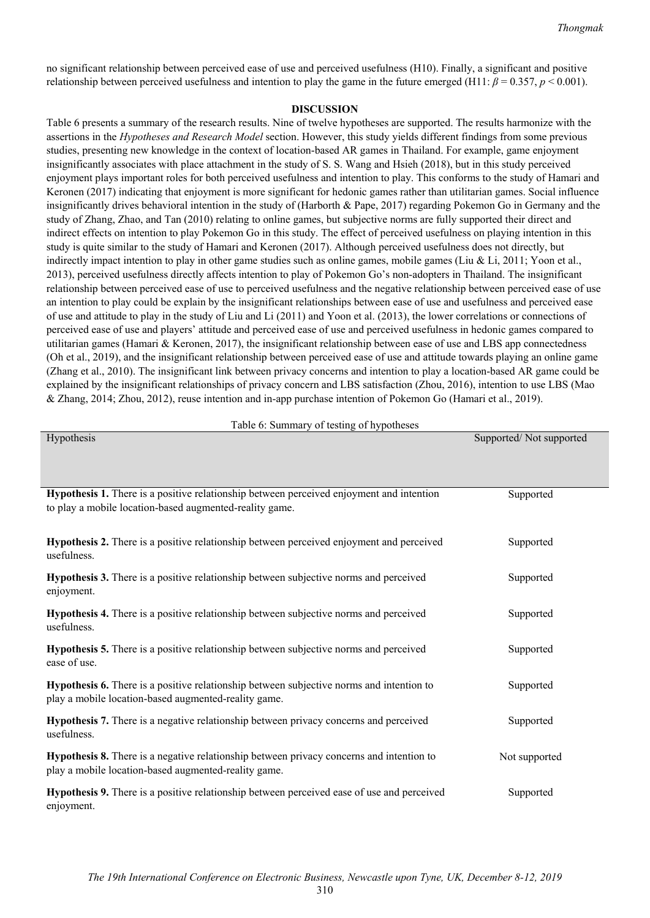no significant relationship between perceived ease of use and perceived usefulness (H10). Finally, a significant and positive relationship between perceived usefulness and intention to play the game in the future emerged (H11:  $\beta = 0.357$ ,  $p < 0.001$ ).

#### **DISCUSSION**

Table 6 presents a summary of the research results. Nine of twelve hypotheses are supported. The results harmonize with the assertions in the *Hypotheses and Research Model* section. However, this study yields different findings from some previous studies, presenting new knowledge in the context of location-based AR games in Thailand. For example, game enjoyment insignificantly associates with place attachment in the study of S. S. Wang and Hsieh (2018), but in this study perceived enjoyment plays important roles for both perceived usefulness and intention to play. This conforms to the study of Hamari and Keronen (2017) indicating that enjoyment is more significant for hedonic games rather than utilitarian games. Social influence insignificantly drives behavioral intention in the study of (Harborth & Pape, 2017) regarding Pokemon Go in Germany and the study of Zhang, Zhao, and Tan (2010) relating to online games, but subjective norms are fully supported their direct and indirect effects on intention to play Pokemon Go in this study. The effect of perceived usefulness on playing intention in this study is quite similar to the study of Hamari and Keronen (2017). Although perceived usefulness does not directly, but indirectly impact intention to play in other game studies such as online games, mobile games (Liu & Li, 2011; Yoon et al., 2013), perceived usefulness directly affects intention to play of Pokemon Go's non-adopters in Thailand. The insignificant relationship between perceived ease of use to perceived usefulness and the negative relationship between perceived ease of use an intention to play could be explain by the insignificant relationships between ease of use and usefulness and perceived ease of use and attitude to play in the study of Liu and Li (2011) and Yoon et al. (2013), the lower correlations or connections of perceived ease of use and players' attitude and perceived ease of use and perceived usefulness in hedonic games compared to utilitarian games (Hamari & Keronen, 2017), the insignificant relationship between ease of use and LBS app connectedness (Oh et al., 2019), and the insignificant relationship between perceived ease of use and attitude towards playing an online game (Zhang et al., 2010). The insignificant link between privacy concerns and intention to play a location-based AR game could be explained by the insignificant relationships of privacy concern and LBS satisfaction (Zhou, 2016), intention to use LBS (Mao & Zhang, 2014; Zhou, 2012), reuse intention and in-app purchase intention of Pokemon Go (Hamari et al., 2019).

Table 6: Summary of testing of hypotheses Hypothesis Supported/ Not supported/ Not supported/ Not supported/ Not supported/ Not supported

| Hypothesis 1. There is a positive relationship between perceived enjoyment and intention<br>to play a mobile location-based augmented-reality game.     | Supported     |
|---------------------------------------------------------------------------------------------------------------------------------------------------------|---------------|
| Hypothesis 2. There is a positive relationship between perceived enjoyment and perceived<br>usefulness.                                                 | Supported     |
| <b>Hypothesis 3.</b> There is a positive relationship between subjective norms and perceived<br>enjoyment.                                              | Supported     |
| Hypothesis 4. There is a positive relationship between subjective norms and perceived<br>usefulness.                                                    | Supported     |
| Hypothesis 5. There is a positive relationship between subjective norms and perceived<br>ease of use.                                                   | Supported     |
| <b>Hypothesis 6.</b> There is a positive relationship between subjective norms and intention to<br>play a mobile location-based augmented-reality game. | Supported     |
| Hypothesis 7. There is a negative relationship between privacy concerns and perceived<br>usefulness.                                                    | Supported     |
| Hypothesis 8. There is a negative relationship between privacy concerns and intention to<br>play a mobile location-based augmented-reality game.        | Not supported |
| Hypothesis 9. There is a positive relationship between perceived ease of use and perceived<br>enjoyment.                                                | Supported     |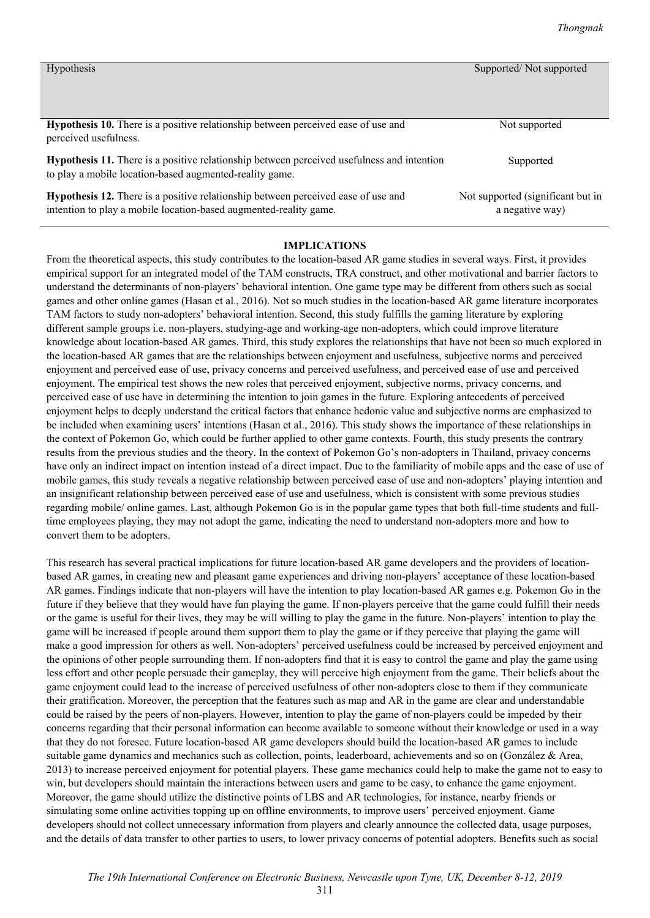| <b>Hypothesis</b>                                                                                                                                            | Supported/Not supported                              |
|--------------------------------------------------------------------------------------------------------------------------------------------------------------|------------------------------------------------------|
| Hypothesis 10. There is a positive relationship between perceived ease of use and<br>perceived usefulness.                                                   | Not supported                                        |
| <b>Hypothesis 11.</b> There is a positive relationship between perceived usefulness and intention<br>to play a mobile location-based augmented-reality game. | Supported                                            |
| Hypothesis 12. There is a positive relationship between perceived ease of use and<br>intention to play a mobile location-based augmented-reality game.       | Not supported (significant but in<br>a negative way) |

### **IMPLICATIONS**

From the theoretical aspects, this study contributes to the location-based AR game studies in several ways. First, it provides empirical support for an integrated model of the TAM constructs, TRA construct, and other motivational and barrier factors to understand the determinants of non-players' behavioral intention. One game type may be different from others such as social games and other online games (Hasan et al., 2016). Not so much studies in the location-based AR game literature incorporates TAM factors to study non-adopters' behavioral intention. Second, this study fulfills the gaming literature by exploring different sample groups i.e. non-players, studying-age and working-age non-adopters, which could improve literature knowledge about location-based AR games. Third, this study explores the relationships that have not been so much explored in the location-based AR games that are the relationships between enjoyment and usefulness, subjective norms and perceived enjoyment and perceived ease of use, privacy concerns and perceived usefulness, and perceived ease of use and perceived enjoyment. The empirical test shows the new roles that perceived enjoyment, subjective norms, privacy concerns, and perceived ease of use have in determining the intention to join games in the future. Exploring antecedents of perceived enjoyment helps to deeply understand the critical factors that enhance hedonic value and subjective norms are emphasized to be included when examining users' intentions (Hasan et al., 2016). This study shows the importance of these relationships in the context of Pokemon Go, which could be further applied to other game contexts. Fourth, this study presents the contrary results from the previous studies and the theory. In the context of Pokemon Go's non-adopters in Thailand, privacy concerns have only an indirect impact on intention instead of a direct impact. Due to the familiarity of mobile apps and the ease of use of mobile games, this study reveals a negative relationship between perceived ease of use and non-adopters' playing intention and an insignificant relationship between perceived ease of use and usefulness, which is consistent with some previous studies regarding mobile/ online games. Last, although Pokemon Go is in the popular game types that both full-time students and fulltime employees playing, they may not adopt the game, indicating the need to understand non-adopters more and how to convert them to be adopters.

This research has several practical implications for future location-based AR game developers and the providers of locationbased AR games, in creating new and pleasant game experiences and driving non-players' acceptance of these location-based AR games. Findings indicate that non-players will have the intention to play location-based AR games e.g. Pokemon Go in the future if they believe that they would have fun playing the game. If non-players perceive that the game could fulfill their needs or the game is useful for their lives, they may be will willing to play the game in the future. Non-players' intention to play the game will be increased if people around them support them to play the game or if they perceive that playing the game will make a good impression for others as well. Non-adopters' perceived usefulness could be increased by perceived enjoyment and the opinions of other people surrounding them. If non-adopters find that it is easy to control the game and play the game using less effort and other people persuade their gameplay, they will perceive high enjoyment from the game. Their beliefs about the game enjoyment could lead to the increase of perceived usefulness of other non-adopters close to them if they communicate their gratification. Moreover, the perception that the features such as map and AR in the game are clear and understandable could be raised by the peers of non-players. However, intention to play the game of non-players could be impeded by their concerns regarding that their personal information can become available to someone without their knowledge or used in a way that they do not foresee. Future location-based AR game developers should build the location-based AR games to include suitable game dynamics and mechanics such as collection, points, leaderboard, achievements and so on (González & Area, 2013) to increase perceived enjoyment for potential players. These game mechanics could help to make the game not to easy to win, but developers should maintain the interactions between users and game to be easy, to enhance the game enjoyment. Moreover, the game should utilize the distinctive points of LBS and AR technologies, for instance, nearby friends or simulating some online activities topping up on offline environments, to improve users' perceived enjoyment. Game developers should not collect unnecessary information from players and clearly announce the collected data, usage purposes, and the details of data transfer to other parties to users, to lower privacy concerns of potential adopters. Benefits such as social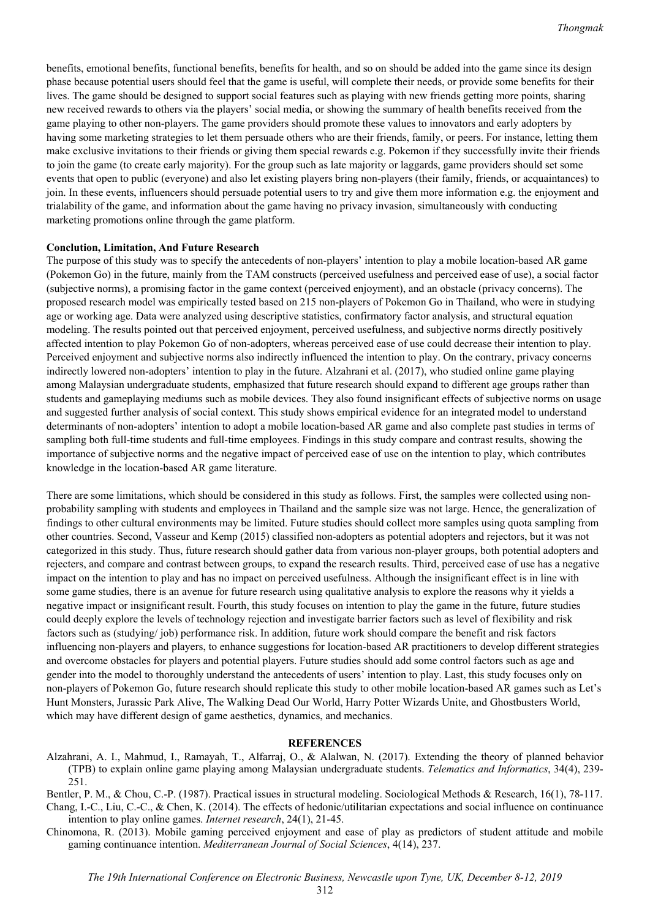benefits, emotional benefits, functional benefits, benefits for health, and so on should be added into the game since its design phase because potential users should feel that the game is useful, will complete their needs, or provide some benefits for their lives. The game should be designed to support social features such as playing with new friends getting more points, sharing new received rewards to others via the players' social media, or showing the summary of health benefits received from the game playing to other non-players. The game providers should promote these values to innovators and early adopters by having some marketing strategies to let them persuade others who are their friends, family, or peers. For instance, letting them make exclusive invitations to their friends or giving them special rewards e.g. Pokemon if they successfully invite their friends to join the game (to create early majority). For the group such as late majority or laggards, game providers should set some events that open to public (everyone) and also let existing players bring non-players (their family, friends, or acquaintances) to join. In these events, influencers should persuade potential users to try and give them more information e.g. the enjoyment and trialability of the game, and information about the game having no privacy invasion, simultaneously with conducting marketing promotions online through the game platform.

#### **Conclution, Limitation, And Future Research**

The purpose of this study was to specify the antecedents of non-players' intention to play a mobile location-based AR game (Pokemon Go) in the future, mainly from the TAM constructs (perceived usefulness and perceived ease of use), a social factor (subjective norms), a promising factor in the game context (perceived enjoyment), and an obstacle (privacy concerns). The proposed research model was empirically tested based on 215 non-players of Pokemon Go in Thailand, who were in studying age or working age. Data were analyzed using descriptive statistics, confirmatory factor analysis, and structural equation modeling. The results pointed out that perceived enjoyment, perceived usefulness, and subjective norms directly positively affected intention to play Pokemon Go of non-adopters, whereas perceived ease of use could decrease their intention to play. Perceived enjoyment and subjective norms also indirectly influenced the intention to play. On the contrary, privacy concerns indirectly lowered non-adopters' intention to play in the future. Alzahrani et al. (2017), who studied online game playing among Malaysian undergraduate students, emphasized that future research should expand to different age groups rather than students and gameplaying mediums such as mobile devices. They also found insignificant effects of subjective norms on usage and suggested further analysis of social context. This study shows empirical evidence for an integrated model to understand determinants of non-adopters' intention to adopt a mobile location-based AR game and also complete past studies in terms of sampling both full-time students and full-time employees. Findings in this study compare and contrast results, showing the importance of subjective norms and the negative impact of perceived ease of use on the intention to play, which contributes knowledge in the location-based AR game literature.

There are some limitations, which should be considered in this study as follows. First, the samples were collected using nonprobability sampling with students and employees in Thailand and the sample size was not large. Hence, the generalization of findings to other cultural environments may be limited. Future studies should collect more samples using quota sampling from other countries. Second, Vasseur and Kemp (2015) classified non-adopters as potential adopters and rejectors, but it was not categorized in this study. Thus, future research should gather data from various non-player groups, both potential adopters and rejecters, and compare and contrast between groups, to expand the research results. Third, perceived ease of use has a negative impact on the intention to play and has no impact on perceived usefulness. Although the insignificant effect is in line with some game studies, there is an avenue for future research using qualitative analysis to explore the reasons why it yields a negative impact or insignificant result. Fourth, this study focuses on intention to play the game in the future, future studies could deeply explore the levels of technology rejection and investigate barrier factors such as level of flexibility and risk factors such as (studying/ job) performance risk. In addition, future work should compare the benefit and risk factors influencing non-players and players, to enhance suggestions for location-based AR practitioners to develop different strategies and overcome obstacles for players and potential players. Future studies should add some control factors such as age and gender into the model to thoroughly understand the antecedents of users' intention to play. Last, this study focuses only on non-players of Pokemon Go, future research should replicate this study to other mobile location-based AR games such as Let's Hunt Monsters, Jurassic Park Alive, The Walking Dead Our World, Harry Potter Wizards Unite, and Ghostbusters World, which may have different design of game aesthetics, dynamics, and mechanics.

#### **REFERENCES**

Alzahrani, A. I., Mahmud, I., Ramayah, T., Alfarraj, O., & Alalwan, N. (2017). Extending the theory of planned behavior (TPB) to explain online game playing among Malaysian undergraduate students. *Telematics and Informatics*, 34(4), 239- 251.

Bentler, P. M., & Chou, C.-P. (1987). Practical issues in structural modeling. Sociological Methods & Research, 16(1), 78-117. Chang, I.-C., Liu, C.-C., & Chen, K. (2014). The effects of hedonic/utilitarian expectations and social influence on continuance intention to play online games. *Internet research*, 24(1), 21-45.

Chinomona, R. (2013). Mobile gaming perceived enjoyment and ease of play as predictors of student attitude and mobile gaming continuance intention. *Mediterranean Journal of Social Sciences*, 4(14), 237.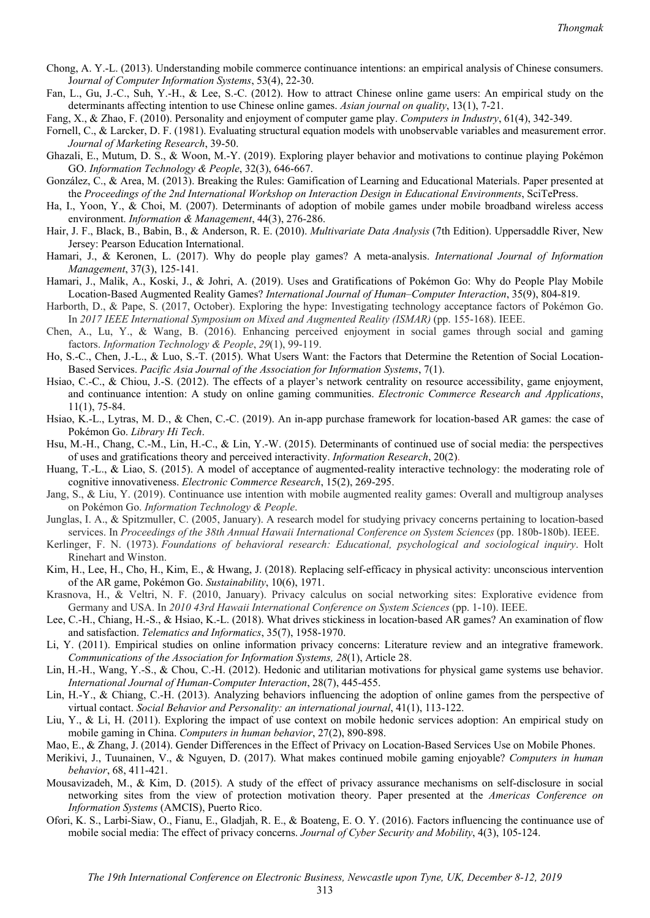- Chong, A. Y.-L. (2013). Understanding mobile commerce continuance intentions: an empirical analysis of Chinese consumers. J*ournal of Computer Information Systems*, 53(4), 22-30.
- Fan, L., Gu, J.-C., Suh, Y.-H., & Lee, S.-C. (2012). How to attract Chinese online game users: An empirical study on the determinants affecting intention to use Chinese online games. *Asian journal on quality*, 13(1), 7-21.
- Fang, X., & Zhao, F. (2010). Personality and enjoyment of computer game play. *Computers in Industry*, 61(4), 342-349.
- Fornell, C., & Larcker, D. F. (1981). Evaluating structural equation models with unobservable variables and measurement error. *Journal of Marketing Research*, 39-50.
- Ghazali, E., Mutum, D. S., & Woon, M.-Y. (2019). Exploring player behavior and motivations to continue playing Pokémon GO. *Information Technology & People*, 32(3), 646-667.
- González, C., & Area, M. (2013). Breaking the Rules: Gamification of Learning and Educational Materials. Paper presented at the *Proceedings of the 2nd International Workshop on Interaction Design in Educational Environments*, SciTePress.
- Ha, I., Yoon, Y., & Choi, M. (2007). Determinants of adoption of mobile games under mobile broadband wireless access environment. *Information & Management*, 44(3), 276-286.
- Hair, J. F., Black, B., Babin, B., & Anderson, R. E. (2010). *Multivariate Data Analysis* (7th Edition). Uppersaddle River, New Jersey: Pearson Education International.
- Hamari, J., & Keronen, L. (2017). Why do people play games? A meta-analysis. *International Journal of Information Management*, 37(3), 125-141.
- Hamari, J., Malik, A., Koski, J., & Johri, A. (2019). Uses and Gratifications of Pokémon Go: Why do People Play Mobile Location-Based Augmented Reality Games? *International Journal of Human–Computer Interaction*, 35(9), 804-819.
- Harborth, D., & Pape, S. (2017, October). Exploring the hype: Investigating technology acceptance factors of Pokémon Go. In *2017 IEEE International Symposium on Mixed and Augmented Reality (ISMAR)* (pp. 155-168). IEEE.
- Chen, A., Lu, Y., & Wang, B. (2016). Enhancing perceived enjoyment in social games through social and gaming factors. *Information Technology & People*, *29*(1), 99-119.
- Ho, S.-C., Chen, J.-L., & Luo, S.-T. (2015). What Users Want: the Factors that Determine the Retention of Social Location-Based Services. *Pacific Asia Journal of the Association for Information Systems*, 7(1).
- Hsiao, C.-C., & Chiou, J.-S. (2012). The effects of a player's network centrality on resource accessibility, game enjoyment, and continuance intention: A study on online gaming communities. *Electronic Commerce Research and Applications*, 11(1), 75-84.
- Hsiao, K.-L., Lytras, M. D., & Chen, C.-C. (2019). An in-app purchase framework for location-based AR games: the case of Pokémon Go. *Library Hi Tech*.
- Hsu, M.-H., Chang, C.-M., Lin, H.-C., & Lin, Y.-W. (2015). Determinants of continued use of social media: the perspectives of uses and gratifications theory and perceived interactivity. *Information Research*, 20(2).
- Huang, T.-L., & Liao, S. (2015). A model of acceptance of augmented-reality interactive technology: the moderating role of cognitive innovativeness. *Electronic Commerce Research*, 15(2), 269-295.
- Jang, S., & Liu, Y. (2019). Continuance use intention with mobile augmented reality games: Overall and multigroup analyses on Pokémon Go. *Information Technology & People*.
- Junglas, I. A., & Spitzmuller, C. (2005, January). A research model for studying privacy concerns pertaining to location-based services. In *Proceedings of the 38th Annual Hawaii International Conference on System Sciences* (pp. 180b-180b). IEEE.
- Kerlinger, F. N. (1973). *Foundations of behavioral research: Educational, psychological and sociological inquiry*. Holt Rinehart and Winston.
- Kim, H., Lee, H., Cho, H., Kim, E., & Hwang, J. (2018). Replacing self-efficacy in physical activity: unconscious intervention of the AR game, Pokémon Go. *Sustainability*, 10(6), 1971.
- Krasnova, H., & Veltri, N. F. (2010, January). Privacy calculus on social networking sites: Explorative evidence from Germany and USA. In *2010 43rd Hawaii International Conference on System Sciences* (pp. 1-10). IEEE.
- Lee, C.-H., Chiang, H.-S., & Hsiao, K.-L. (2018). What drives stickiness in location-based AR games? An examination of flow and satisfaction. *Telematics and Informatics*, 35(7), 1958-1970.
- Li, Y. (2011). Empirical studies on online information privacy concerns: Literature review and an integrative framework. *Communications of the Association for Information Systems, 28*(1), Article 28.
- Lin, H.-H., Wang, Y.-S., & Chou, C.-H. (2012). Hedonic and utilitarian motivations for physical game systems use behavior. *International Journal of Human-Computer Interaction*, 28(7), 445-455.
- Lin, H.-Y., & Chiang, C.-H. (2013). Analyzing behaviors influencing the adoption of online games from the perspective of virtual contact. *Social Behavior and Personality: an international journal*, 41(1), 113-122.
- Liu, Y., & Li, H. (2011). Exploring the impact of use context on mobile hedonic services adoption: An empirical study on mobile gaming in China. *Computers in human behavior*, 27(2), 890-898.
- Mao, E., & Zhang, J. (2014). Gender Differences in the Effect of Privacy on Location-Based Services Use on Mobile Phones.
- Merikivi, J., Tuunainen, V., & Nguyen, D. (2017). What makes continued mobile gaming enjoyable? *Computers in human behavior*, 68, 411-421.
- Mousavizadeh, M., & Kim, D. (2015). A study of the effect of privacy assurance mechanisms on self-disclosure in social networking sites from the view of protection motivation theory. Paper presented at the *Americas Conference on Information Systems* (AMCIS), Puerto Rico.
- Ofori, K. S., Larbi-Siaw, O., Fianu, E., Gladjah, R. E., & Boateng, E. O. Y. (2016). Factors influencing the continuance use of mobile social media: The effect of privacy concerns. *Journal of Cyber Security and Mobility*, 4(3), 105-124.